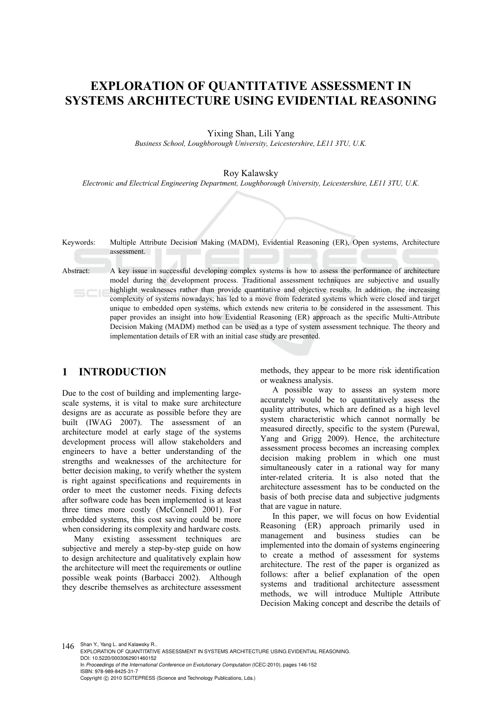# **EXPLORATION OF QUANTITATIVE ASSESSMENT IN SYSTEMS ARCHITECTURE USING EVIDENTIAL REASONING**

Yixing Shan, Lili Yang

*Business School, Loughborough University, Leicestershire, LE11 3TU, U.K.* 

Roy Kalawsky

*Electronic and Electrical Engineering Department, Loughborough University, Leicestershire, LE11 3TU, U.K.* 

Keywords: Multiple Attribute Decision Making (MADM), Evidential Reasoning (ER), Open systems, Architecture assessment.

Abstract: A key issue in successful developing complex systems is how to assess the performance of architecture model during the development process. Traditional assessment techniques are subjective and usually highlight weaknesses rather than provide quantitative and objective results. In addition, the increasing complexity of systems nowadays; has led to a move from federated systems which were closed and target unique to embedded open systems, which extends new criteria to be considered in the assessment. This paper provides an insight into how Evidential Reasoning (ER) approach as the specific Multi-Attribute Decision Making (MADM) method can be used as a type of system assessment technique. The theory and implementation details of ER with an initial case study are presented.

## **1 INTRODUCTION**

Due to the cost of building and implementing largescale systems, it is vital to make sure architecture designs are as accurate as possible before they are built (IWAG 2007). The assessment of an architecture model at early stage of the systems development process will allow stakeholders and engineers to have a better understanding of the strengths and weaknesses of the architecture for better decision making, to verify whether the system is right against specifications and requirements in order to meet the customer needs. Fixing defects after software code has been implemented is at least three times more costly (McConnell 2001). For embedded systems, this cost saving could be more when considering its complexity and hardware costs.

Many existing assessment techniques are subjective and merely a step-by-step guide on how to design architecture and qualitatively explain how the architecture will meet the requirements or outline possible weak points (Barbacci 2002). Although they describe themselves as architecture assessment methods, they appear to be more risk identification or weakness analysis.

A possible way to assess an system more accurately would be to quantitatively assess the quality attributes, which are defined as a high level system characteristic which cannot normally be measured directly, specific to the system (Purewal, Yang and Grigg 2009). Hence, the architecture assessment process becomes an increasing complex decision making problem in which one must simultaneously cater in a rational way for many inter-related criteria. It is also noted that the architecture assessment has to be conducted on the basis of both precise data and subjective judgments that are vague in nature.

In this paper, we will focus on how Evidential Reasoning (ER) approach primarily used in management and business studies can be implemented into the domain of systems engineering to create a method of assessment for systems architecture. The rest of the paper is organized as follows: after a belief explanation of the open systems and traditional architecture assessment methods, we will introduce Multiple Attribute Decision Making concept and describe the details of

146 Shan Y., Yang L. and Kalawsky R.. EXPLORATION OF QUANTITATIVE ASSESSMENT IN SYSTEMS ARCHITECTURE USING EVIDENTIAL REASONING. DOI: 10.5220/0003062901460152 In *Proceedings of the International Conference on Evolutionary Computation* (ICEC-2010), pages 146-152 ISBN: 978-989-8425-31-7 Copyright © 2010 SCITEPRESS (Science and Technology Publications, Lda.)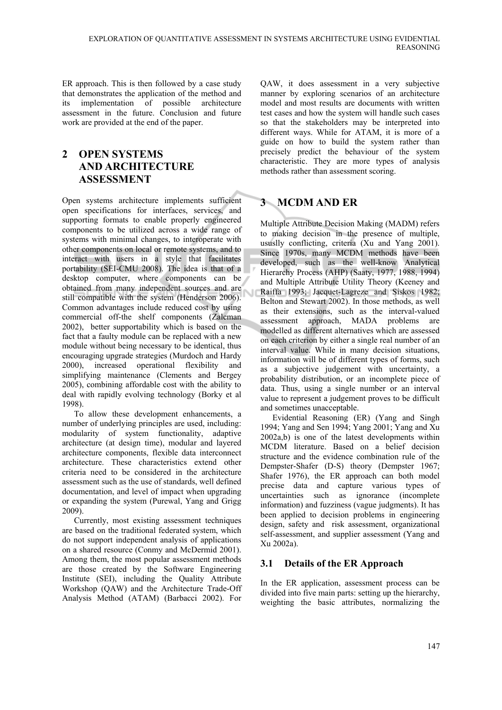ER approach. This is then followed by a case study that demonstrates the application of the method and its implementation of possible architecture assessment in the future. Conclusion and future work are provided at the end of the paper.

# **2 OPEN SYSTEMS AND ARCHITECTURE ASSESSMENT**

Open systems architecture implements sufficient open specifications for interfaces, services, and supporting formats to enable properly engineered components to be utilized across a wide range of systems with minimal changes, to interoperate with other components on local or remote systems, and to interact with users in a style that facilitates portability (SEI-CMU 2008). The idea is that of a desktop computer, where components can be obtained from many independent sources and are still compatible with the system (Henderson 2006). Common advantages include reduced cost by using commercial off-the shelf components (Zalcman 2002), better supportability which is based on the fact that a faulty module can be replaced with a new module without being necessary to be identical, thus encouraging upgrade strategies (Murdoch and Hardy 2000), increased operational flexibility and simplifying maintenance (Clements and Bergey 2005), combining affordable cost with the ability to deal with rapidly evolving technology (Borky et al 1998).

To allow these development enhancements, a number of underlying principles are used, including: modularity of system functionality, adaptive architecture (at design time), modular and layered architecture components, flexible data interconnect architecture. These characteristics extend other criteria need to be considered in the architecture assessment such as the use of standards, well defined documentation, and level of impact when upgrading or expanding the system (Purewal, Yang and Grigg 2009).

Currently, most existing assessment techniques are based on the traditional federated system, which do not support independent analysis of applications on a shared resource (Conmy and McDermid 2001). Among them, the most popular assessment methods are those created by the Software Engineering Institute (SEI), including the Quality Attribute Workshop (QAW) and the Architecture Trade-Off Analysis Method (ATAM) (Barbacci 2002). For

QAW, it does assessment in a very subjective manner by exploring scenarios of an architecture model and most results are documents with written test cases and how the system will handle such cases so that the stakeholders may be interpreted into different ways. While for ATAM, it is more of a guide on how to build the system rather than precisely predict the behaviour of the system characteristic. They are more types of analysis methods rather than assessment scoring.

# **3 MCDM AND ER**

Multiple Attribute Decision Making (MADM) refers to making decision in the presence of multiple, ususlly conflicting, criteria (Xu and Yang 2001). Since 1970s, many MCDM methods have been developed, such as the well-know Analytical Hierarchy Process (AHP) (Saaty, 1977, 1988, 1994) and Multiple Attribute Utility Theory (Keeney and Raiffa 1993; Jacquet-Lagreze and Siskos 1982; Belton and Stewart 2002). In those methods, as well as their extensions, such as the interval-valued assessment approach, MADA problems are modelled as different alternatives which are assessed on each criterion by either a single real number of an interval value. While in many decision situations, information will be of different types of forms, such as a subjective judgement with uncertainty, a probability distribution, or an incomplete piece of data. Thus, using a single number or an interval value to represent a judgement proves to be difficult and sometimes unacceptable.

Evidential Reasoning (ER) (Yang and Singh 1994; Yang and Sen 1994; Yang 2001; Yang and Xu 2002a,b) is one of the latest developments within MCDM literature. Based on a belief decision structure and the evidence combination rule of the Dempster-Shafer (D-S) theory (Dempster 1967; Shafer 1976), the ER approach can both model precise data and capture various types of uncertainties such as ignorance (incomplete information) and fuzziness (vague judgments). It has been applied to decision problems in engineering design, safety and risk assessment, organizational self-assessment, and supplier assessment (Yang and Xu 2002a).

## **3.1 Details of the ER Approach**

In the ER application, assessment process can be divided into five main parts: setting up the hierarchy, weighting the basic attributes, normalizing the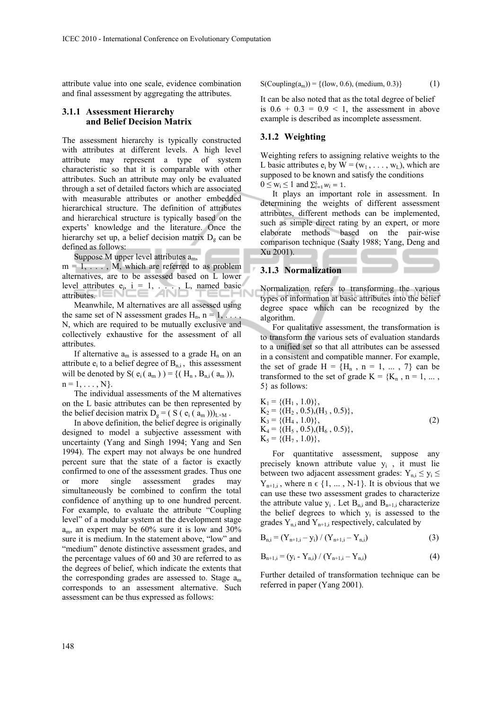attribute value into one scale, evidence combination and final assessment by aggregating the attributes.

### **3.1.1 Assessment Hierarchy and Belief Decision Matrix**

The assessment hierarchy is typically constructed with attributes at different levels. A high level attribute may represent a type of system characteristic so that it is comparable with other attributes. Such an attribute may only be evaluated through a set of detailed factors which are associated with measurable attributes or another embedded hierarchical structure. The definition of attributes and hierarchical structure is typically based on the experts' knowledge and the literature. Once the hierarchy set up, a belief decision matrix  $D_g$  can be defined as follows:

Suppose M upper level attributes  $a_m$ ,

 $m = 1, \ldots, M$ , which are referred to as problem alternatives, are to be assessed based on L lower level attributes  $e_i$ ,  $i = 1, \ldots, L$ , named basic attributes.

Meanwhile, M alternatives are all assessed using the same set of N assessment grades  $H_n$ ,  $n = 1, \ldots$ N, which are required to be mutually exclusive and collectively exhaustive for the assessment of all attributes.

If alternative  $a_m$  is assessed to a grade  $H_n$  on an attribute  $e_i$  to a belief degree of  $B_{n,i}$ , this assessment will be denoted by S( $e_i$ ( $a_m$ )) = {( $H_n$ ,  $B_{ni}$ ( $a_m$ )),  $n = 1, \ldots, N$ .

The individual assessments of the M alternatives on the L basic attributes can be then represented by the belief decision matrix  $D_g = (S (e_i (a_m)))_{L \times M}$ .

In above definition, the belief degree is originally designed to model a subjective assessment with uncertainty (Yang and Singh 1994; Yang and Sen 1994). The expert may not always be one hundred percent sure that the state of a factor is exactly confirmed to one of the assessment grades. Thus one or more single assessment grades may simultaneously be combined to confirm the total confidence of anything up to one hundred percent. For example, to evaluate the attribute "Coupling level" of a modular system at the development stage  $a<sub>m</sub>$ , an expert may be 60% sure it is low and 30% sure it is medium. In the statement above, "low" and "medium" denote distinctive assessment grades, and the percentage values of 60 and 30 are referred to as the degrees of belief, which indicate the extents that the corresponding grades are assessed to. Stage  $a_m$ corresponds to an assessment alternative. Such assessment can be thus expressed as follows:

$$
S(Coupling(a_m)) = \{(low, 0.6), (medium, 0.3)\}\
$$
 (1)

It can be also noted that as the total degree of belief is  $0.6 + 0.3 = 0.9 < 1$ , the assessment in above example is described as incomplete assessment.

### **3.1.2 Weighting**

Weighting refers to assigning relative weights to the L basic attributes  $e_i$  by  $W = (w_1, \ldots, w_L)$ , which are supposed to be known and satisfy the conditions  $0 \leq w_i \leq 1$  and  $\sum_{i=1}^L w_i = 1$ .

It plays an important role in assessment. In determining the weights of different assessment attributes, different methods can be implemented, such as simple direct rating by an expert, or more elaborate methods based on the pair-wise comparison technique (Saaty 1988; Yang, Deng and Xu 2001).

#### **3.1.3 Normalization**

Normalization refers to transforming the various types of information at basic attributes into the belief degree space which can be recognized by the algorithm.

For qualitative assessment, the transformation is to transform the various sets of evaluation standards to a unified set so that all attributes can be assessed in a consistent and compatible manner. For example, the set of grade  $H = {H_n, n = 1, ..., 7}$  can be transformed to the set of grade  $K = \{K_n, n = 1, \dots,$ 5} as follows:

$$
K_1 = \{ (H_1, 1.0) \},
$$
  
\n
$$
K_2 = \{ (H_2, 0.5), (H_3, 0.5) \},
$$
  
\n
$$
K_3 = \{ (H_4, 1.0) \},
$$
  
\n
$$
K_4 = \{ (H_5, 0.5), (H_6, 0.5) \},
$$
  
\n
$$
K_5 = \{ (H_7, 1.0) \},
$$
\n(2)

For quantitative assessment, suppose any precisely known attribute value yi , it must lie between two adjacent assessment grades:  $Y_{n,i} \le y_i \le$  $Y_{n+1,i}$ , where  $n \in \{1, ..., N-1\}$ . It is obvious that we can use these two assessment grades to characterize the attribute value  $y_i$ . Let  $B_{ni}$  and  $B_{n+1}$  characterize the belief degrees to which  $y_i$  is assessed to the grades  $Y_{n,i}$  and  $Y_{n+1,i}$  respectively, calculated by

$$
B_{n,i} = (Y_{n+1,i} - y_i) / (Y_{n+1,i} - Y_{n,i})
$$
 (3)

$$
B_{n+1,i} = (y_i - Y_{n,i}) / (Y_{n+1,i} - Y_{n,i})
$$
 (4)

Further detailed of transformation technique can be referred in paper (Yang 2001).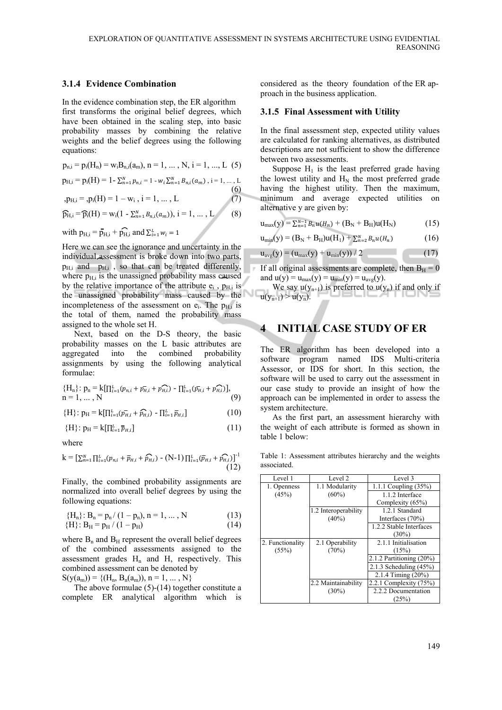#### **3.1.4 Evidence Combination**

In the evidence combination step, the ER algorithm first transforms the original belief degrees, which have been obtained in the scaling step, into basic probability masses by combining the relative weights and the belief degrees using the following equations:

$$
p_{n,i} = p_i(H_n) = w_i B_{n,i}(a_m), n = 1, ..., N, i = 1, ..., L
$$
 (5)

$$
p_{H,i} = p_i(H) = 1 - \sum_{n=1}^{N} p_{n,i} = 1 - w_i \sum_{n=1}^{N} B_{n,i}(a_m), i = 1, ..., L
$$
\n(6)

$$
p_{H,i} = p_i(H) = 1 - w_i, i = 1, ..., L \tag{7}
$$

$$
\widehat{\mathbf{p}}_{\mathrm{H},i} = \widehat{\mathbf{p}}_{i}(\mathrm{H}) = \mathbf{w}_{i}(1 - \sum_{n=1}^{N} B_{n,i}(a_{m})), i = 1, \dots, L \tag{8}
$$

with  $p_{H,i} = \bar{p}_{H,i} + \hat{p}_{H,i}$  and  $\sum_{i=1}^{L} w_i = 1$ 

Here we can see the ignorance and uncertainty in the individual assessment is broke down into two parts,  $p_{\text{H,i}}$  and  $p_{\text{H,i}}$ , so that can be treated differently, where  $p_{\text{H}i}$  is the unassigned probability mass caused by the relative importance of the attribute  $e_i$ ,  $p_{\text{H}i}$  is the unassigned probability mass caused by the incompleteness of the assessment on  $e_i$ . The  $p_H$  is the total of them, named the probability mass assigned to the whole set H.

Next, based on the D-S theory, the basic probability masses on the L basic attributes are aggregated into the combined probability assignments by using the following analytical formulae:

$$
{\{H_n\}: p_n = k[\prod_{i=1}^L (p_{n,i} + p_{H,i} - p_{H,i}) - \prod_{i=1}^L (p_{H,i} + p_{H,i})\},\newline n = 1, ..., N
$$
\n(9)

{H}:  $p_H = k[\prod_{i=1}^{L}(\bar{p}_{H,i} + \widehat{p}_{H,i}) - \prod_{i=1}^{L} \bar{p}_{H,i}]$  (10)

$$
\{H\} \colon p_H = k[\prod_{i=1}^L \overline{p}_{H,i}] \tag{11}
$$

where

$$
\mathbf{k} = \left[ \sum_{n=1}^{N} \prod_{i=1}^{L} (p_{n,i} + \overline{p}_{H,i} + \widehat{p}_{H,i}) - (\mathbf{N} \cdot \mathbf{1}) \prod_{i=1}^{L} (\overline{p}_{H,i} + \widehat{p}_{H,i}) \right]^{-1}
$$
(12)

Finally, the combined probability assignments are normalized into overall belief degrees by using the following equations:

$$
{H_n}: B_n = p_n / (1 - p_n), n = 1, ..., N
$$
\n
$$
{H} : B_H = p_H / (1 - p_H) \tag{13}
$$
\n
$$
(14)
$$

where  $B_n$  and  $B_H$  represent the overall belief degrees of the combined assessments assigned to the assessment grades  $H_n$  and  $H_n$  respectively. This combined assessment can be denoted by

 $S(y(a_m)) = \{(H_n, B_n(a_m)), n = 1, ..., N\}$ 

The above formulae (5)-(14) together constitute a complete ER analytical algorithm which is considered as the theory foundation of the ER approach in the business application.

#### **3.1.5 Final Assessment with Utility**

In the final assessment step, expected utility values are calculated for ranking alternatives, as distributed descriptions are not sufficient to show the difference between two assessments.

Suppose  $H_1$  is the least preferred grade having the lowest utility and  $H_N$  the most preferred grade having the highest utility. Then the maximum, minimum and average expected utilities on alternative y are given by:

$$
u_{max}(y) = \sum_{n=1}^{N-1} B_n u(H_n) + (B_N + B_H) u(H_N)
$$
 (15)

$$
u_{\min}(y) = (B_N + B_H)u(H_1) + \sum_{n=2}^{N} B_n u(H_n)
$$
 (16)

$$
u_{\text{avg}}(y) = (u_{\text{max}}(y) + u_{\text{min}}(y)) / 2
$$
 (17)

If all original assessments are complete, then  $B_H = 0$ and  $u(y) = u_{max}(y) = u_{min}(y) = u_{avg}(y)$ .

We say  $u(y_{n+1})$  is preferred to  $u(y_n)$  if and only if  $u(y_{n+1}) > u(y_n)$ .

## **4 INITIAL CASE STUDY OF ER**

The ER algorithm has been developed into a software program named IDS Multi-criteria Assessor, or IDS for short. In this section, the software will be used to carry out the assessment in our case study to provide an insight of how the approach can be implemented in order to assess the system architecture.

As the first part, an assessment hierarchy with the weight of each attribute is formed as shown in table 1 below:

Table 1: Assessment attributes hierarchy and the weights associated.

| Level 1          | Level 2              | Level 3                       |
|------------------|----------------------|-------------------------------|
| 1. Openness      | 1.1 Modularity       | 1.1.1 Coupling $(35%)$        |
| (45%)            | $(60\%)$             | 1.1.2 Interface               |
|                  |                      | Complexity (65%)              |
|                  | 1.2 Interoperability | 1.2.1 Standard                |
|                  | $(40\%)$             | Interfaces $(70\%)$           |
|                  |                      | 1.2.2 Stable Interfaces       |
|                  |                      | $(30\%)$                      |
| 2. Functionality | 2.1 Operability      | 2.1.1 Initialisation          |
| (55%)            | (70%)                | (15%)                         |
|                  |                      | $2.1.2$ Partitioning $(20\%)$ |
|                  |                      | $2.1.3$ Scheduling $(45%)$    |
|                  |                      | 2.1.4 Timing (20%)            |
|                  | 2.2 Maintainability  | 2.2.1 Complexity (75%)        |
|                  | $(30\%)$             | 2.2.2 Documentation           |
|                  |                      | (25%)                         |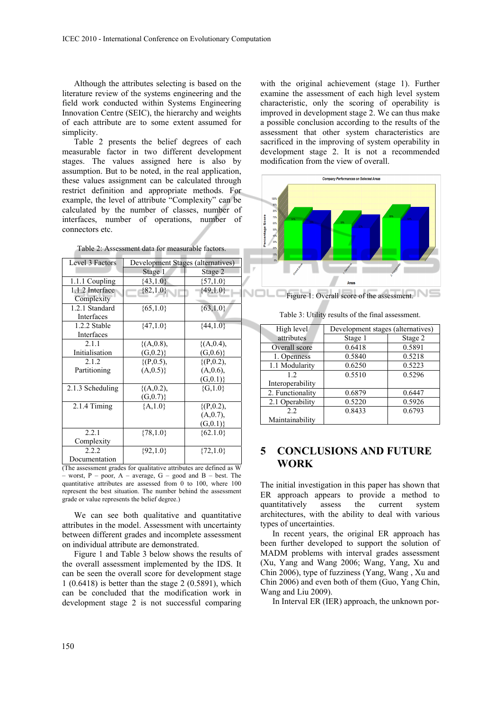Although the attributes selecting is based on the literature review of the systems engineering and the field work conducted within Systems Engineering Innovation Centre (SEIC), the hierarchy and weights of each attribute are to some extent assumed for simplicity.

Table 2 presents the belief degrees of each measurable factor in two different development stages. The values assigned here is also by assumption. But to be noted, in the real application, these values assignment can be calculated through restrict definition and appropriate methods. For example, the level of attribute "Complexity" can be calculated by the number of classes, number of interfaces, number of operations, number of connectors etc.

| Table 2: Assessment data for measurable factors. |  |  |  |  |
|--------------------------------------------------|--|--|--|--|
|--------------------------------------------------|--|--|--|--|

| Level 3 Factors               | <b>Development Stages (alternatives)</b> |                 |  |
|-------------------------------|------------------------------------------|-----------------|--|
|                               | Stage 1                                  | Stage 2         |  |
| 1.1.1 Coupling                | $\{43,1.0\}$                             | $\{57, 1.0\}$   |  |
| 1.1.2 Interface<br>Complexity | $\{82,1.0\}$                             | ${49,1.0}$      |  |
| 1.2.1 Standard<br>Interfaces  | $\{65,1.0\}$                             | ${63,1.0}$      |  |
| 1.2.2 Stable<br>Interfaces    | $\{47,1.0\}$                             | ${44,1.0}$      |  |
| 2.1.1                         | $\{(A, 0.8),\$                           | ${(A, 0.4)},$   |  |
| Initialisation                | (G, 0.2)                                 | (G, 0.6)        |  |
| 2.1.2                         | $\{(P, 0.5),$                            | $\{(P, 0.2),$   |  |
| Partitioning                  | (A, 0.5)                                 | (A, 0.6),       |  |
|                               |                                          | (G, 0.1)        |  |
| 2.1.3 Scheduling              | $\{(A, 0.2),\$<br>(G, 0.7)               | ${G,1.0}$       |  |
| $2.1.4$ Timing                | ${A, 1.0}$                               | $\{(P, 0.2),\}$ |  |
|                               |                                          | (A,0.7),        |  |
|                               |                                          | (G, 0.1)        |  |
| 2.2.1                         | ${78,1.0}$                               | ${62.1.0}$      |  |
| Complexity                    |                                          |                 |  |
| 2.2.2                         | $\{92,1.0\}$                             | ${72,1.0}$      |  |
| Documentation                 |                                          |                 |  |

(The assessment grades for qualitative attributes are defined as W – worst,  $P$  – poor,  $A$  – average,  $G$  – good and  $B$  – best. The quantitative attributes are assessed from 0 to 100, where 100 represent the best situation. The number behind the assessment grade or value represents the belief degree.)

We can see both qualitative and quantitative attributes in the model. Assessment with uncertainty between different grades and incomplete assessment on individual attribute are demonstrated.

Figure 1 and Table 3 below shows the results of the overall assessment implemented by the IDS. It can be seen the overall score for development stage 1 (0.6418) is better than the stage 2 (0.5891), which can be concluded that the modification work in development stage 2 is not successful comparing

with the original achievement (stage 1). Further examine the assessment of each high level system characteristic, only the scoring of operability is improved in development stage 2. We can thus make a possible conclusion according to the results of the assessment that other system characteristics are sacrificed in the improving of system operability in development stage 2. It is not a recommended modification from the view of overall.



Table 3: Utility results of the final assessment.

| High level       | Development stages (alternatives) |         |  |
|------------------|-----------------------------------|---------|--|
| attributes       | Stage 1                           | Stage 2 |  |
| Overall score    | 0.6418                            | 0.5891  |  |
| 1. Openness      | 0.5840                            | 0.5218  |  |
| 1.1 Modularity   | 0.6250                            | 0.5223  |  |
| 12.              | 0.5510                            | 0.5296  |  |
| Interoperability |                                   |         |  |
| 2. Functionality | 0.6879                            | 0.6447  |  |
| 2.1 Operability  | 0.5220                            | 0.5926  |  |
| 2.2              | 0.8433                            | 0.6793  |  |
| Maintainability  |                                   |         |  |

# **5 CONCLUSIONS AND FUTURE WORK**

The initial investigation in this paper has shown that ER approach appears to provide a method to quantitatively assess the current system architectures, with the ability to deal with various types of uncertainties.

In recent years, the original ER approach has been further developed to support the solution of MADM problems with interval grades assessment (Xu, Yang and Wang 2006; Wang, Yang, Xu and Chin 2006), type of fuzziness (Yang, Wang , Xu and Chin 2006) and even both of them (Guo, Yang Chin, Wang and Liu 2009).

In Interval ER (IER) approach, the unknown por-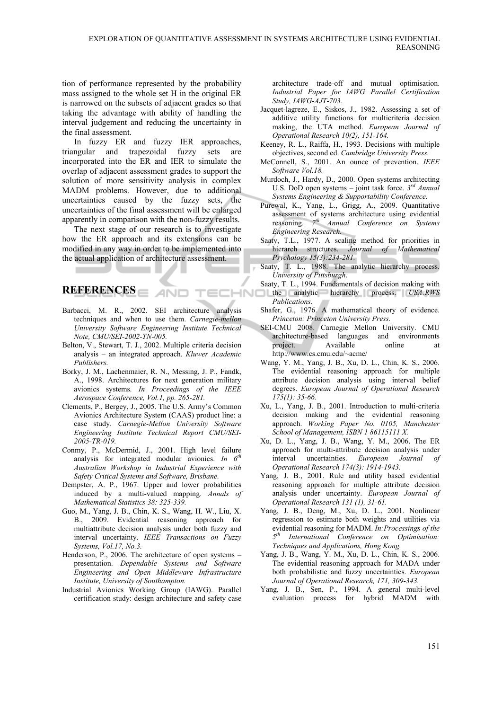tion of performance represented by the probability mass assigned to the whole set H in the original ER is narrowed on the subsets of adjacent grades so that taking the advantage with ability of handling the interval judgement and reducing the uncertainty in the final assessment.

In fuzzy ER and fuzzy IER approaches, triangular and trapezoidal fuzzy sets are incorporated into the ER and IER to simulate the overlap of adjacent assessment grades to support the solution of more sensitivity analysis in complex MADM problems. However, due to additional uncertainties caused by the fuzzy sets, the uncertainties of the final assessment will be enlarged apparently in comparison with the non-fuzzy results.

The next stage of our research is to investigate how the ER approach and its extensions can be modified in any way in order to be implemented into the actual application of architecture assessment.

## **REFERENCES**

Barbacci, M. R., 2002. SEI architecture analysis techniques and when to use them. *Carnegie-mellon University Software Engineering Institute Technical Note, CMU/SEI-2002-TN-005.*

AND

- Belton, V., Stewart, T. J., 2002. Multiple criteria decision analysis – an integrated approach. *Kluwer Academic Publishers.*
- Borky, J. M., Lachenmaier, R. N., Messing, J. P., Fandk, A., 1998. Architectures for next generation military avionics systems. *In Proceedings of the IEEE Aerospace Conference, Vol.1, pp. 265-281.*
- Clements, P., Bergey, J., 2005. The U.S. Army's Common Avionics Architecture System (CAAS) product line: a case study. *Carnegie-Mellon University Software Engineering Institute Technical Report CMU/SEI-2005-TR-019.*
- Conmy, P., McDermid, J., 2001. High level failure analysis for integrated modular avionics. *In 6th Australian Workshop in Industrial Experience with Safety Critical Systems and Software, Brisbane.*
- Dempster, A. P., 1967. Upper and lower probabilities induced by a multi-valued mapping. *Annals of Mathematical Statistics 38: 325-339.*
- Guo, M., Yang, J. B., Chin, K. S., Wang, H. W., Liu, X. B., 2009. Evidential reasoning approach for multiattribute decision analysis under both fuzzy and interval uncertainty. *IEEE Transactions on Fuzzy Systems, Vol.17, No.3.*
- Henderson, P., 2006. The architecture of open systems presentation. *Dependable Systems and Software Engineering and Open Middleware Infrastructure Institute, University of Southampton.*
- Industrial Avionics Working Group (IAWG). Parallel certification study: design architecture and safety case

architecture trade-off and mutual optimisation. *Industrial Paper for IAWG Parallel Certification Study, IAWG-AJT-703.*

- Jacquet-lagreze, E., Siskos, J., 1982. Assessing a set of additive utility functions for multicriteria decision making, the UTA method. *European Journal of Operational Research 10(2), 151-164.*
- Keeney, R. L., Raiffa, H., 1993. Decisions with multiple objectives, second ed. *Cambridge University Press.*
- McConnell, S., 2001. An ounce of prevention. *IEEE Software Vol.18.*
- Murdoch, J., Hardy, D., 2000. Open systems architecting U.S. DoD open systems – joint task force. *3rd Annual Systems Engineering & Supportability Conference.*
- Purewal, K., Yang, L., Grigg, A., 2009. Quantitative assessment of systems architecture using evidential reasoning. *7th Annual Conference on Systems Engineering Research.*
- Saaty, T.L., 1977. A scaling method for priorities in hierarch structures. *Journal of Mathematical Psychology 15(3):234-281.*
- Saaty, T. L., 1988. The analytic hierarchy process. *University of Pittsburgh*.
- Saaty, T. L., 1994. Fundamentals of decision making with **the analytic hierarchy process.** *USA:RWS Publications*.
	- Shafer, G., 1976. A mathematical theory of evidence. *Princeton: Princeton University Press.*
	- SEI-CMU 2008. Carnegie Mellon University. CMU architecture-based languages and environments project. Available online at http://www.cs.cmu.edu/~acme/
	- Wang, Y. M., Yang, J. B., Xu, D. L., Chin, K. S., 2006. The evidential reasoning approach for multiple attribute decision analysis using interval belief degrees. *European Journal of Operational Research 175(1): 35-66.*
	- Xu, L., Yang, J. B., 2001. Introduction to multi-criteria decision making and the evidential reasoning approach. *Working Paper No. 0105, Manchester School of Management, ISBN 1 86115111 X.*
	- Xu, D. L., Yang, J. B., Wang, Y. M., 2006. The ER approach for multi-attribute decision analysis under interval uncertainties. *European Journal of Operational Research 174(3): 1914-1943.*
	- Yang, J. B., 2001. Rule and utility based evidential reasoning approach for multiple attribute decision analysis under uncertainty. *European Journal of Operational Research 131 (1), 31-61.*
	- Yang, J. B., Deng, M., Xu, D. L., 2001. Nonlinear regression to estimate both weights and utilities via evidential reasoning for MADM. *In:Processings of the 5th International Conference on Optimisation: Techniques and Applications, Hong Kong.*
	- Yang, J. B., Wang, Y. M., Xu, D. L., Chin, K. S., 2006. The evidential reasoning approach for MADA under both probabilistic and fuzzy uncertainties. *European Journal of Operational Research, 171, 309-343.*
	- Yang, J. B., Sen, P., 1994. A general multi-level evaluation process for hybrid MADM with